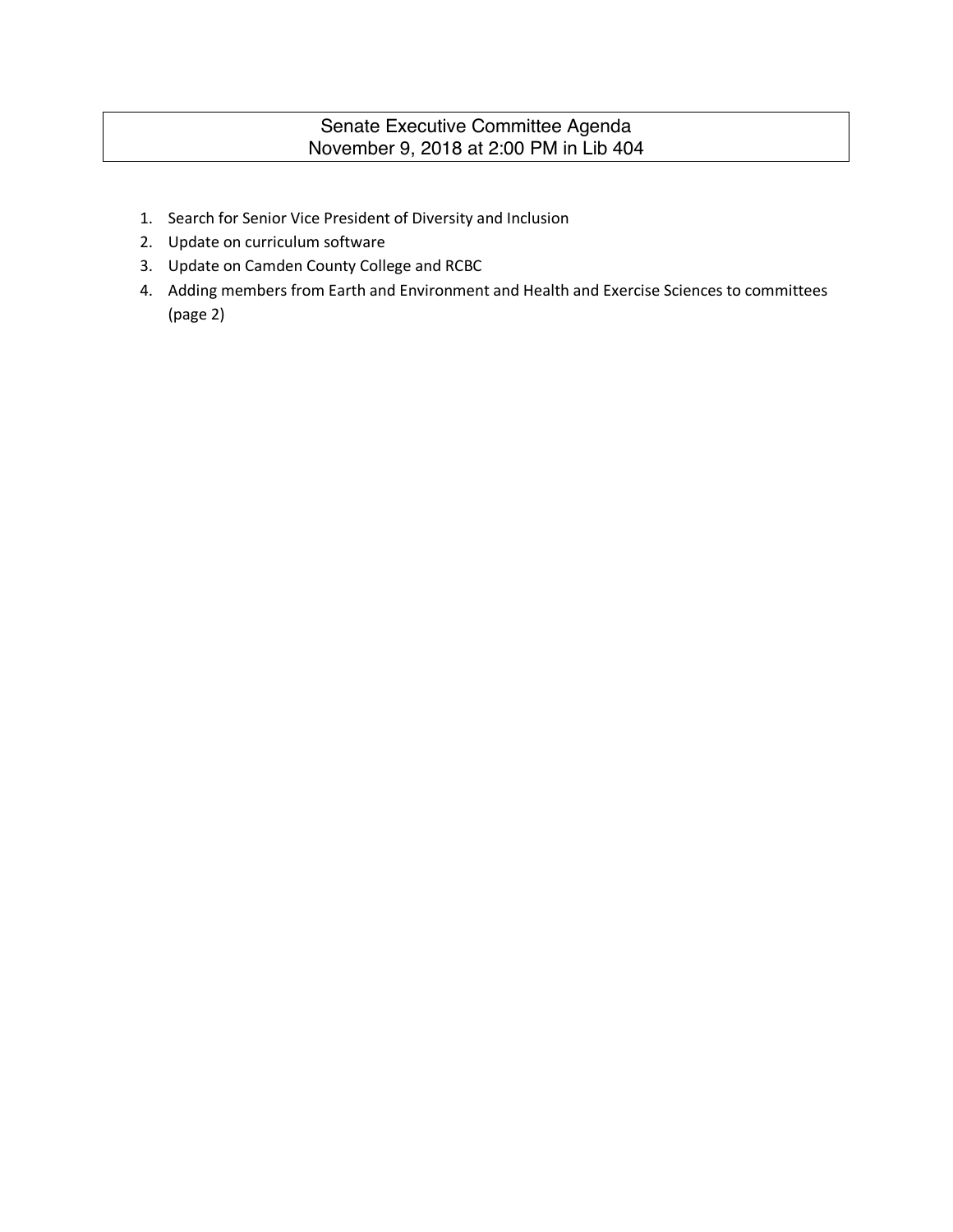# Senate Executive Committee Agenda November 9, 2018 at 2:00 PM in Lib 404

- 1. Search for Senior Vice President of Diversity and Inclusion
- 2. Update on curriculum software
- 3. Update on Camden County College and RCBC
- 4. Adding members from Earth and Environment and Health and Exercise Sciences to committees (page 2)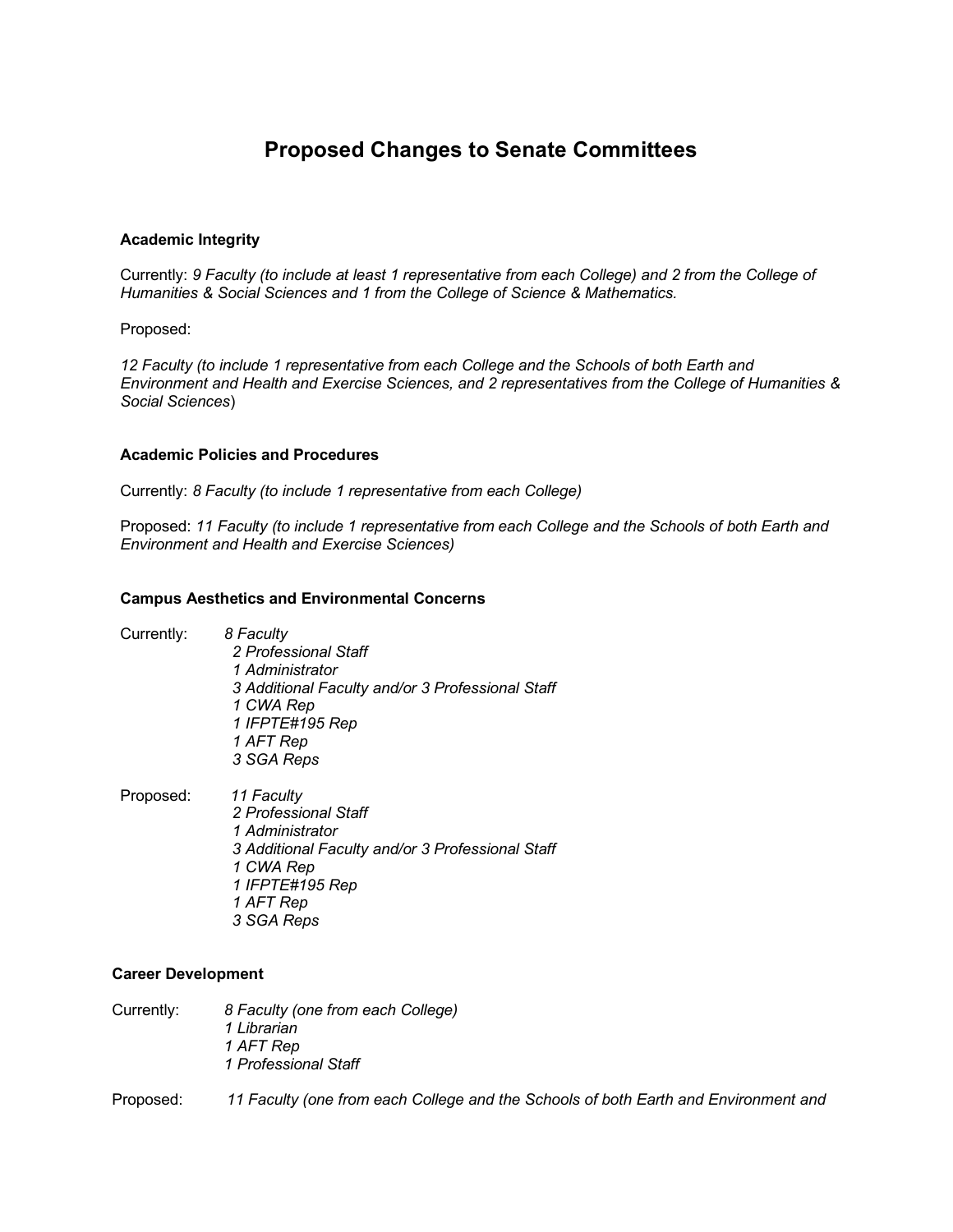# **Proposed Changes to Senate Committees**

## **Academic Integrity**

Currently: *9 Faculty (to include at least 1 representative from each College) and 2 from the College of Humanities & Social Sciences and 1 from the College of Science & Mathematics.*

Proposed:

*12 Faculty (to include 1 representative from each College and the Schools of both Earth and Environment and Health and Exercise Sciences, and 2 representatives from the College of Humanities & Social Sciences*)

#### **Academic Policies and Procedures**

Currently: *8 Faculty (to include 1 representative from each College)*

Proposed: *11 Faculty (to include 1 representative from each College and the Schools of both Earth and Environment and Health and Exercise Sciences)*

#### **Campus Aesthetics and Environmental Concerns**

| Currently: | 8 Faculty<br>2 Professional Staff<br>1 Administrator<br>3 Additional Faculty and/or 3 Professional Staff<br>1 CWA Rep<br>1 IFPTE#195 Rep<br>1 AFT Rep<br>3 SGA Reps |
|------------|---------------------------------------------------------------------------------------------------------------------------------------------------------------------|
| Proposed:  | 11 Faculty                                                                                                                                                          |

*2 Professional Staff 1 Administrator 3 Additional Faculty and/or 3 Professional Staff 1 CWA Rep 1 IFPTE#195 Rep 1 AFT Rep 3 SGA Reps*

#### **Career Development**

| Currently: | 8 Faculty (one from each College) |
|------------|-----------------------------------|
|            | 1 Librarian                       |
|            | 1 AFT Rep                         |
|            | 1 Professional Staff              |
|            |                                   |

Proposed: *11 Faculty (one from each College and the Schools of both Earth and Environment and*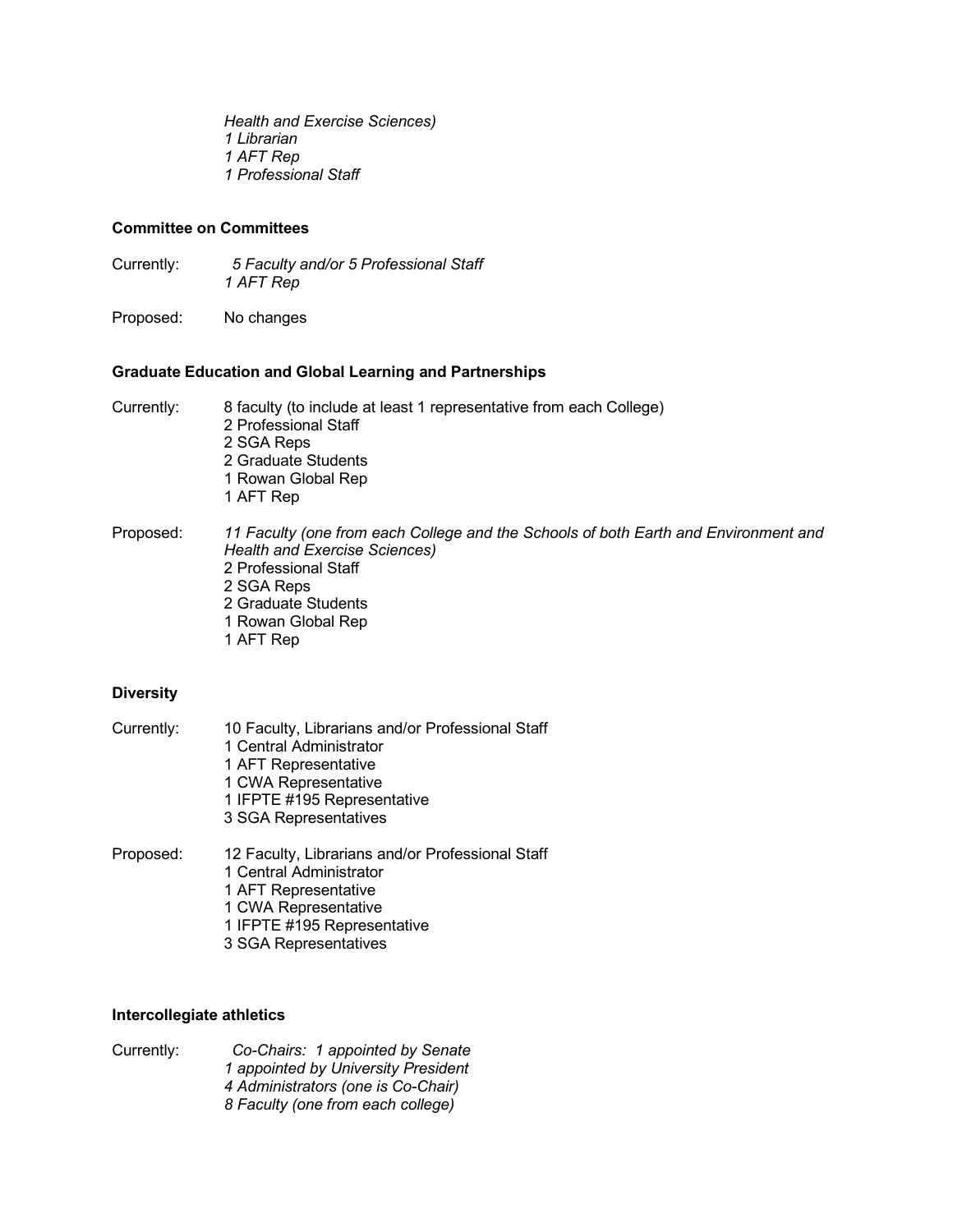*Health and Exercise Sciences) 1 Librarian 1 AFT Rep 1 Professional Staff*

# **Committee on Committees**

Currently: *5 Faculty and/or 5 Professional Staff 1 AFT Rep*

Proposed: No changes

### **Graduate Education and Global Learning and Partnerships**

| Currently: | 8 faculty (to include at least 1 representative from each College) |  |
|------------|--------------------------------------------------------------------|--|
|            | 2 Professional Staff                                               |  |
|            | 2 SGA Reps                                                         |  |
|            | 2 Graduate Students                                                |  |
|            | 1 Rowan Global Rep                                                 |  |
|            | 1 AFT Rep                                                          |  |
|            |                                                                    |  |

Proposed: *11 Faculty (one from each College and the Schools of both Earth and Environment and Health and Exercise Sciences)* 2 Professional Staff 2 SGA Reps 2 Graduate Students 1 Rowan Global Rep 1 AFT Rep

#### **Diversity**

| Currently: | 10 Faculty, Librarians and/or Professional Staff                            |  |  |
|------------|-----------------------------------------------------------------------------|--|--|
|            | 1 Central Administrator                                                     |  |  |
|            | 1 AFT Representative                                                        |  |  |
|            | 1 CWA Representative                                                        |  |  |
|            | 1 IFPTE #195 Representative                                                 |  |  |
|            | 3 SGA Representatives                                                       |  |  |
| Proposed:  | 12 Faculty, Librarians and/or Professional Staff<br>1 Central Administrator |  |  |

- 1 AFT Representative
- 1 CWA Representative
- 1 IFPTE #195 Representative
- 3 SGA Representatives

#### **Intercollegiate athletics**

Currently: *Co-Chairs: 1 appointed by Senate 1 appointed by University President 4 Administrators (one is Co-Chair) 8 Faculty (one from each college)*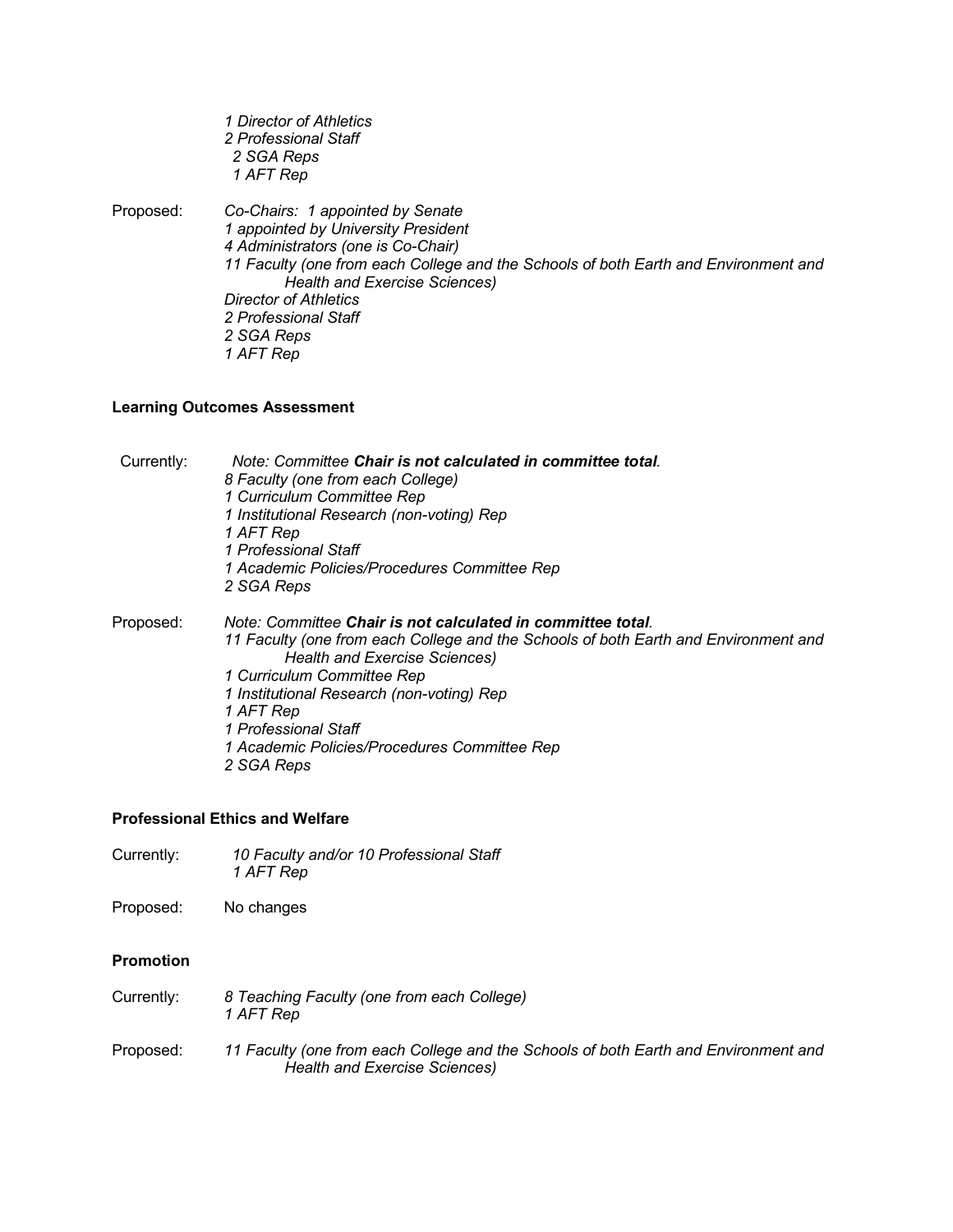|           | 1 Director of Athletics<br>2 Professional Staff<br>2 SGA Reps<br>1 AFT Rep                                                                                                                                                            |
|-----------|---------------------------------------------------------------------------------------------------------------------------------------------------------------------------------------------------------------------------------------|
| Proposed: | Co-Chairs: 1 appointed by Senate<br>1 appointed by University President<br>4 Administrators (one is Co-Chair)<br>11 Faculty (one from each College and the Schools of both Earth and Environment and<br>Health and Exercise Sciences) |
|           | Director of Athletics                                                                                                                                                                                                                 |
|           | 2 Professional Staff                                                                                                                                                                                                                  |
|           | 2 SGA Reps                                                                                                                                                                                                                            |
|           | 1 AFT Rep                                                                                                                                                                                                                             |

# **Learning Outcomes Assessment**

| Currently: | Note: Committee Chair is not calculated in committee total.                                                          |  |  |
|------------|----------------------------------------------------------------------------------------------------------------------|--|--|
|            | 8 Faculty (one from each College)                                                                                    |  |  |
|            | 1 Curriculum Committee Rep                                                                                           |  |  |
|            | 1 Institutional Research (non-voting) Rep                                                                            |  |  |
|            | 1 AFT Rep                                                                                                            |  |  |
|            | 1 Professional Staff                                                                                                 |  |  |
|            | 1 Academic Policies/Procedures Committee Rep                                                                         |  |  |
|            | 2 SGA Reps                                                                                                           |  |  |
| Proposed:  | Note: Committee Chair is not calculated in committee total.                                                          |  |  |
|            | 11 Faculty (one from each College and the Schools of both Earth and Environment and<br>Health and Exercise Sciences) |  |  |
|            | 1 Curriculum Committee Rep                                                                                           |  |  |
|            | 1 Institutional Research (non-voting) Rep                                                                            |  |  |
|            | 1 AFT Rep                                                                                                            |  |  |
|            | 1 Professional Staff                                                                                                 |  |  |
|            | 1 Academic Policies/Procedures Committee Rep                                                                         |  |  |
|            | 2 SGA Reps                                                                                                           |  |  |

#### **Professional Ethics and Welfare**

Currently: *10 Faculty and/or 10 Professional Staff 1 AFT Rep*

Proposed: No changes

# **Promotion**

- Currently: *8 Teaching Faculty (one from each College) 1 AFT Rep*
- Proposed: *11 Faculty (one from each College and the Schools of both Earth and Environment and Health and Exercise Sciences)*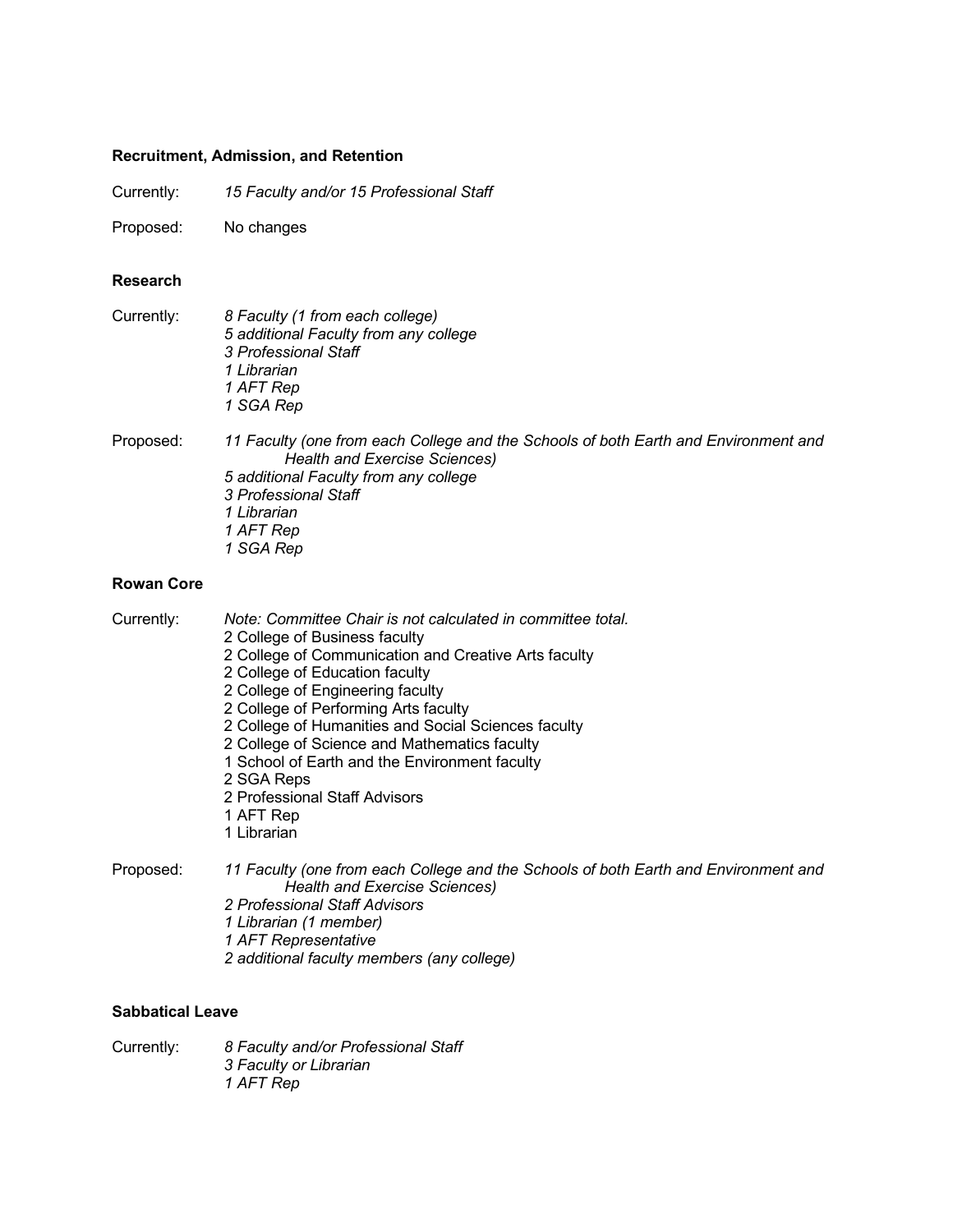# **Recruitment, Admission, and Retention**

Currently: *15 Faculty and/or 15 Professional Staff*

Proposed: No changes

#### **Research**

| Currently:                                                                                                                                                                                           | 8 Faculty (1 from each college)<br>5 additional Faculty from any college<br>3 Professional Staff<br>1 Librarian<br>1 AFT Rep<br>1 SGA Rep                                                                                      |
|------------------------------------------------------------------------------------------------------------------------------------------------------------------------------------------------------|--------------------------------------------------------------------------------------------------------------------------------------------------------------------------------------------------------------------------------|
| Proposed:                                                                                                                                                                                            | 11 Faculty (one from each College and the Schools of both Earth and Environment and<br>Health and Exercise Sciences)<br>5 additional Faculty from any college<br>3 Professional Staff<br>1 Librarian<br>1 AFT Rep<br>1 SGA Rep |
| <b>Rowan Core</b>                                                                                                                                                                                    |                                                                                                                                                                                                                                |
| Note: Committee Chair is not calculated in committee total.<br>Currently:<br>2 College of Business faculty<br>2 College of Communication and Creative Arts faculty<br>2 College of Education faculty |                                                                                                                                                                                                                                |

- 2 College of Education faculty
- 2 College of Engineering faculty 2 College of Performing Arts faculty
- 2 College of Humanities and Social Sciences faculty
- 
- 2 College of Science and Mathematics faculty
- 1 School of Earth and the Environment faculty
- 2 SGA Reps
- 2 Professional Staff Advisors
- 1 AFT Rep
- 1 Librarian

Proposed: *11 Faculty (one from each College and the Schools of both Earth and Environment and Health and Exercise Sciences)*

- *2 Professional Staff Advisors*
- *1 Librarian (1 member)*
- *1 AFT Representative*
- *2 additional faculty members (any college)*

# **Sabbatical Leave**

Currently: *8 Faculty and/or Professional Staff 3 Faculty or Librarian 1 AFT Rep*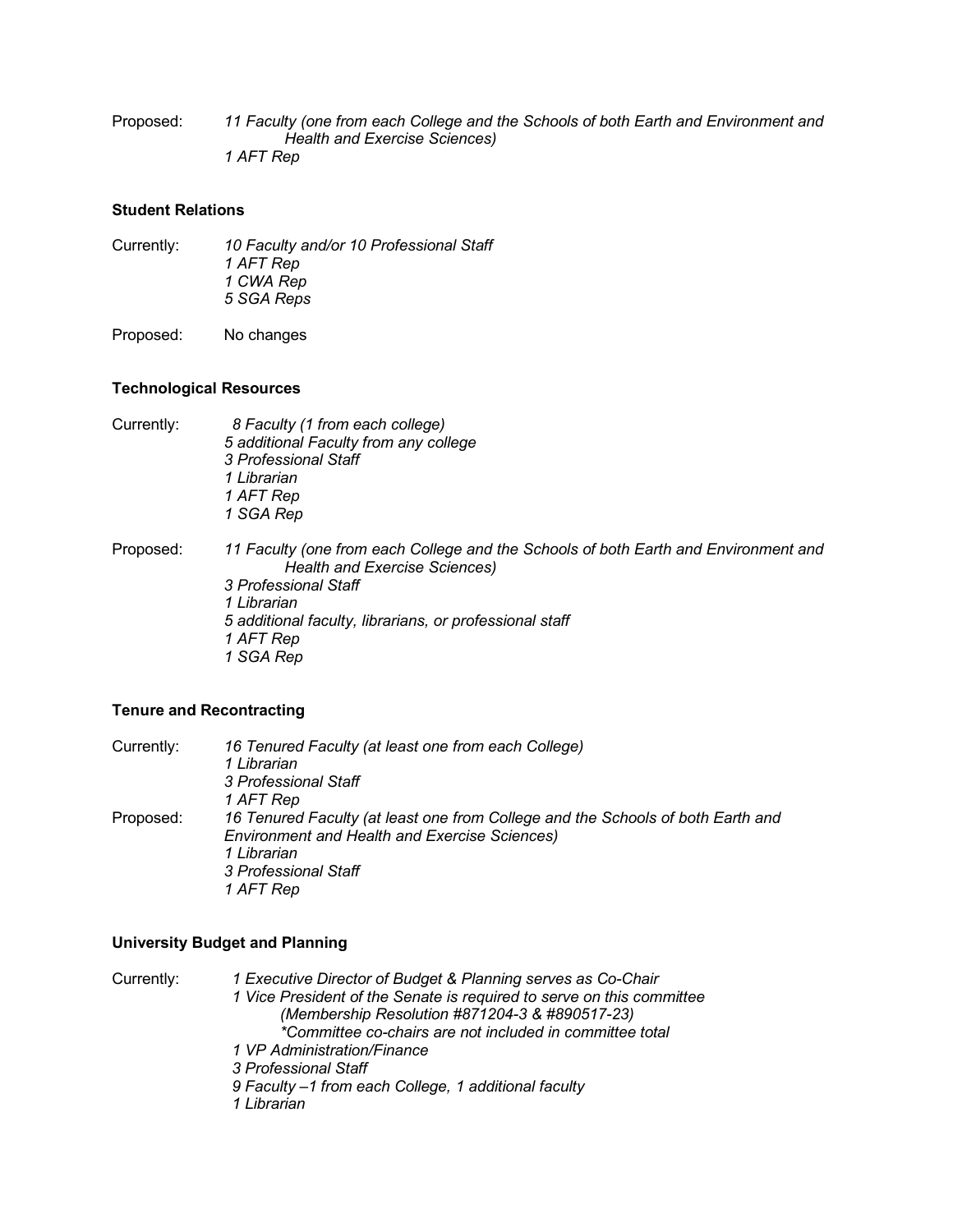Proposed: *11 Faculty (one from each College and the Schools of both Earth and Environment and Health and Exercise Sciences) 1 AFT Rep*

#### **Student Relations**

Currently: *10 Faculty and/or 10 Professional Staff 1 AFT Rep 1 CWA Rep 5 SGA Reps*

Proposed: No changes

### **Technological Resources**

| Currently: | 8 Faculty (1 from each college)       |
|------------|---------------------------------------|
|            | 5 additional Faculty from any college |
|            | 3 Professional Staff                  |
|            | 1 Librarian                           |
|            | 1 AFT Rep                             |
|            | 1 SGA Rep                             |
|            |                                       |
|            |                                       |

Proposed: *11 Faculty (one from each College and the Schools of both Earth and Environment and Health and Exercise Sciences) 3 Professional Staff 1 Librarian 5 additional faculty, librarians, or professional staff 1 AFT Rep 1 SGA Rep*

## **Tenure and Recontracting**

Currently: *16 Tenured Faculty (at least one from each College) 1 Librarian 3 Professional Staff 1 AFT Rep* Proposed: *16 Tenured Faculty (at least one from College and the Schools of both Earth and Environment and Health and Exercise Sciences) 1 Librarian 3 Professional Staff 1 AFT Rep*

# **University Budget and Planning**

Currently: *1 Executive Director of Budget & Planning serves as Co-Chair 1 Vice President of the Senate is required to serve on this committee (Membership Resolution #871204-3 & #890517-23) \*Committee co-chairs are not included in committee total 1 VP Administration/Finance 3 Professional Staff 9 Faculty –1 from each College, 1 additional faculty 1 Librarian*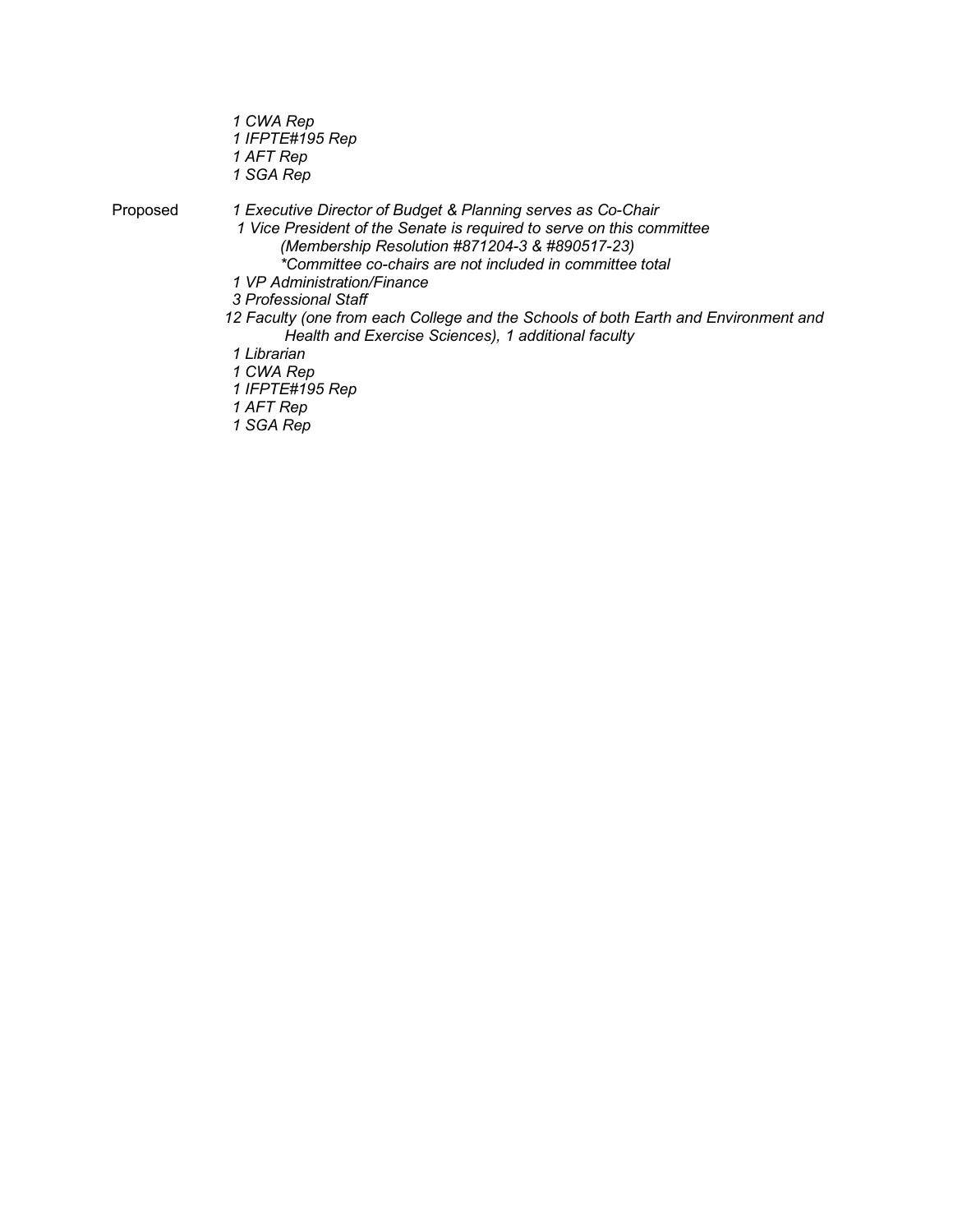*1 CWA Rep 1 IFPTE#195 Rep 1 AFT Rep 1 SGA Rep*

Proposed *1 Executive Director of Budget & Planning serves as Co-Chair*

*1 Vice President of the Senate is required to serve on this committee (Membership Resolution #871204-3 & #890517-23)*

- *\*Committee co-chairs are not included in committee total*
- *1 VP Administration/Finance*

*3 Professional Staff*

*12 Faculty (one from each College and the Schools of both Earth and Environment and Health and Exercise Sciences), 1 additional faculty*

*1 Librarian*

*1 CWA Rep*

*1 IFPTE#195 Rep*

*1 AFT Rep*

 *1 SGA Rep*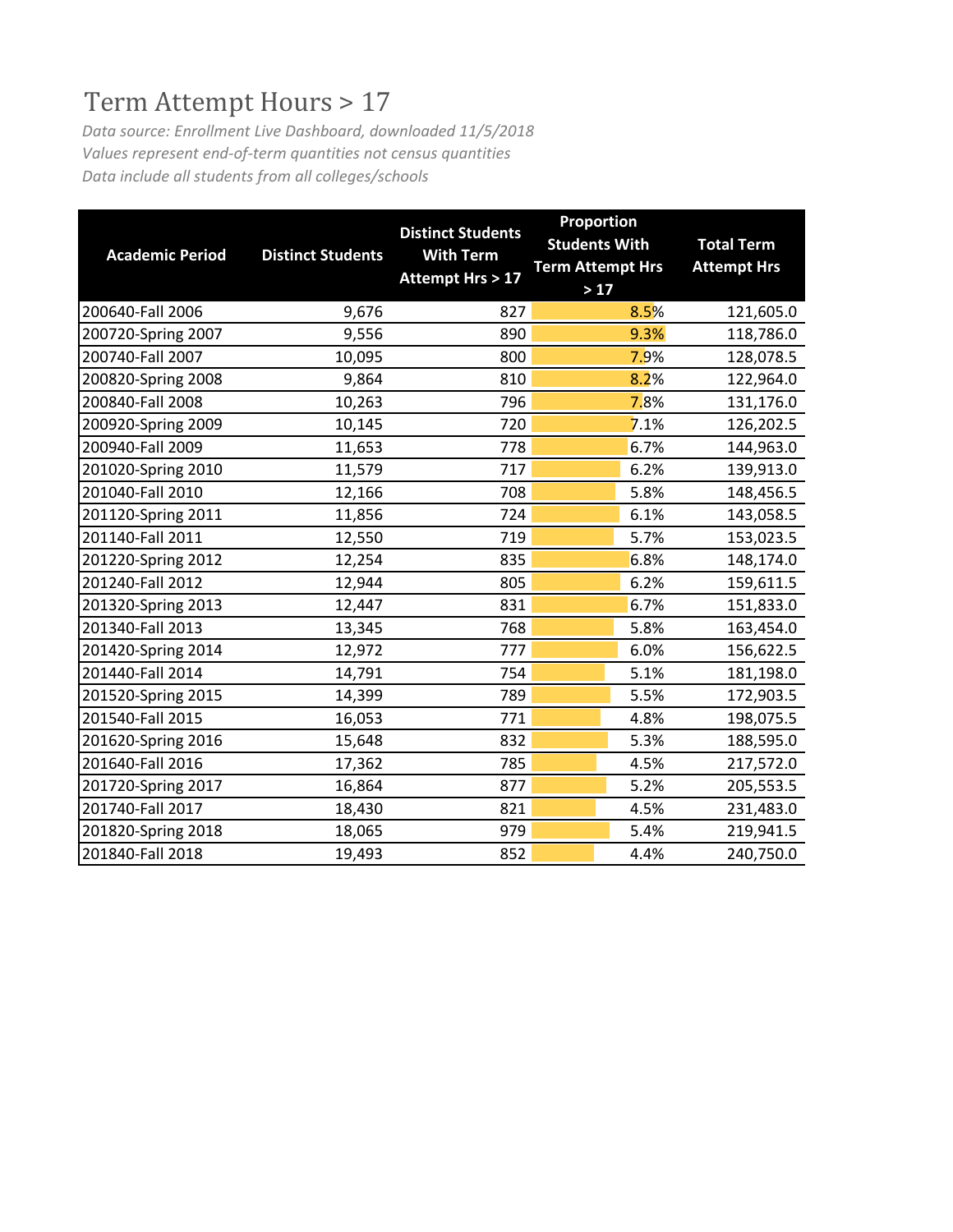# Term Attempt Hours > 17

*Data source: Enrollment Live Dashboard, downloaded 11/5/2018 Values represent end-of-term quantities not census quantities Data include all students from all colleges/schools*

| <b>Academic Period</b> | <b>Distinct Students</b> | <b>Distinct Students</b><br><b>With Term</b> | Proportion<br><b>Students With</b><br><b>Term Attempt Hrs</b> | <b>Total Term</b><br><b>Attempt Hrs</b> |
|------------------------|--------------------------|----------------------------------------------|---------------------------------------------------------------|-----------------------------------------|
|                        |                          | <b>Attempt Hrs &gt; 17</b>                   | $>17$                                                         |                                         |
| 200640-Fall 2006       | 9,676                    | 827                                          | 8.5%                                                          | 121,605.0                               |
| 200720-Spring 2007     | 9,556                    | 890                                          | 9.3%                                                          | 118,786.0                               |
| 200740-Fall 2007       | 10,095                   | 800                                          | 7.9%                                                          | 128,078.5                               |
| 200820-Spring 2008     | 9,864                    | 810                                          | 8.2%                                                          | 122,964.0                               |
| 200840-Fall 2008       | 10,263                   | 796                                          | 7.8%                                                          | 131,176.0                               |
| 200920-Spring 2009     | 10,145                   | 720                                          | 7.1%                                                          | 126,202.5                               |
| 200940-Fall 2009       | 11,653                   | 778                                          | 6.7%                                                          | 144,963.0                               |
| 201020-Spring 2010     | 11,579                   | 717                                          | 6.2%                                                          | 139,913.0                               |
| 201040-Fall 2010       | 12,166                   | 708                                          | 5.8%                                                          | 148,456.5                               |
| 201120-Spring 2011     | 11,856                   | 724                                          | 6.1%                                                          | 143,058.5                               |
| 201140-Fall 2011       | 12,550                   | 719                                          | 5.7%                                                          | 153,023.5                               |
| 201220-Spring 2012     | 12,254                   | 835                                          | 6.8%                                                          | 148,174.0                               |
| 201240-Fall 2012       | 12,944                   | 805                                          | 6.2%                                                          | 159,611.5                               |
| 201320-Spring 2013     | 12,447                   | 831                                          | 6.7%                                                          | 151,833.0                               |
| 201340-Fall 2013       | 13,345                   | 768                                          | 5.8%                                                          | 163,454.0                               |
| 201420-Spring 2014     | 12,972                   | 777                                          | 6.0%                                                          | 156,622.5                               |
| 201440-Fall 2014       | 14,791                   | 754                                          | 5.1%                                                          | 181,198.0                               |
| 201520-Spring 2015     | 14,399                   | 789                                          | 5.5%                                                          | 172,903.5                               |
| 201540-Fall 2015       | 16,053                   | 771                                          | 4.8%                                                          | 198,075.5                               |
| 201620-Spring 2016     | 15,648                   | 832                                          | 5.3%                                                          | 188,595.0                               |
| 201640-Fall 2016       | 17,362                   | 785                                          | 4.5%                                                          | 217,572.0                               |
| 201720-Spring 2017     | 16,864                   | 877                                          | 5.2%                                                          | 205,553.5                               |
| 201740-Fall 2017       | 18,430                   | 821                                          | 4.5%                                                          | 231,483.0                               |
| 201820-Spring 2018     | 18,065                   | 979                                          | 5.4%                                                          | 219,941.5                               |
| 201840-Fall 2018       | 19,493                   | 852                                          | 4.4%                                                          | 240,750.0                               |